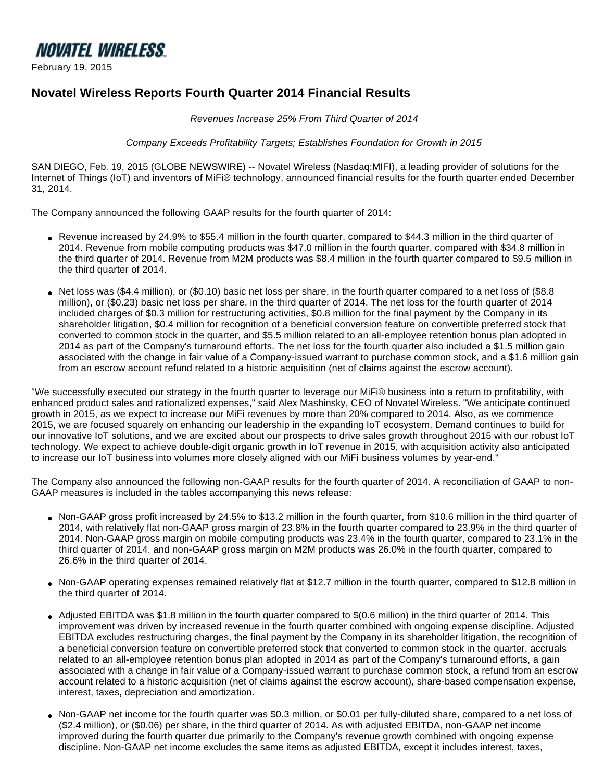

February 19, 2015

# **Novatel Wireless Reports Fourth Quarter 2014 Financial Results**

Revenues Increase 25% From Third Quarter of 2014

Company Exceeds Profitability Targets; Establishes Foundation for Growth in 2015

SAN DIEGO, Feb. 19, 2015 (GLOBE NEWSWIRE) -- Novatel Wireless (Nasdaq:MIFI), a leading provider of solutions for the Internet of Things (IoT) and inventors of MiFi® technology, announced financial results for the fourth quarter ended December 31, 2014.

The Company announced the following GAAP results for the fourth quarter of 2014:

- Revenue increased by 24.9% to \$55.4 million in the fourth quarter, compared to \$44.3 million in the third quarter of 2014. Revenue from mobile computing products was \$47.0 million in the fourth quarter, compared with \$34.8 million in the third quarter of 2014. Revenue from M2M products was \$8.4 million in the fourth quarter compared to \$9.5 million in the third quarter of 2014.
- Net loss was (\$4.4 million), or (\$0.10) basic net loss per share, in the fourth quarter compared to a net loss of (\$8.8 million), or (\$0.23) basic net loss per share, in the third quarter of 2014. The net loss for the fourth quarter of 2014 included charges of \$0.3 million for restructuring activities, \$0.8 million for the final payment by the Company in its shareholder litigation, \$0.4 million for recognition of a beneficial conversion feature on convertible preferred stock that converted to common stock in the quarter, and \$5.5 million related to an all-employee retention bonus plan adopted in 2014 as part of the Company's turnaround efforts. The net loss for the fourth quarter also included a \$1.5 million gain associated with the change in fair value of a Company-issued warrant to purchase common stock, and a \$1.6 million gain from an escrow account refund related to a historic acquisition (net of claims against the escrow account).

"We successfully executed our strategy in the fourth quarter to leverage our MiFi® business into a return to profitability, with enhanced product sales and rationalized expenses," said Alex Mashinsky, CEO of Novatel Wireless. "We anticipate continued growth in 2015, as we expect to increase our MiFi revenues by more than 20% compared to 2014. Also, as we commence 2015, we are focused squarely on enhancing our leadership in the expanding IoT ecosystem. Demand continues to build for our innovative IoT solutions, and we are excited about our prospects to drive sales growth throughout 2015 with our robust IoT technology. We expect to achieve double-digit organic growth in IoT revenue in 2015, with acquisition activity also anticipated to increase our IoT business into volumes more closely aligned with our MiFi business volumes by year-end."

The Company also announced the following non-GAAP results for the fourth quarter of 2014. A reconciliation of GAAP to non-GAAP measures is included in the tables accompanying this news release:

- Non-GAAP gross profit increased by 24.5% to \$13.2 million in the fourth quarter, from \$10.6 million in the third quarter of 2014, with relatively flat non-GAAP gross margin of 23.8% in the fourth quarter compared to 23.9% in the third quarter of 2014. Non-GAAP gross margin on mobile computing products was 23.4% in the fourth quarter, compared to 23.1% in the third quarter of 2014, and non-GAAP gross margin on M2M products was 26.0% in the fourth quarter, compared to 26.6% in the third quarter of 2014.
- Non-GAAP operating expenses remained relatively flat at \$12.7 million in the fourth quarter, compared to \$12.8 million in the third quarter of 2014.
- Adjusted EBITDA was \$1.8 million in the fourth quarter compared to \$(0.6 million) in the third quarter of 2014. This improvement was driven by increased revenue in the fourth quarter combined with ongoing expense discipline. Adjusted EBITDA excludes restructuring charges, the final payment by the Company in its shareholder litigation, the recognition of a beneficial conversion feature on convertible preferred stock that converted to common stock in the quarter, accruals related to an all-employee retention bonus plan adopted in 2014 as part of the Company's turnaround efforts, a gain associated with a change in fair value of a Company-issued warrant to purchase common stock, a refund from an escrow account related to a historic acquisition (net of claims against the escrow account), share-based compensation expense, interest, taxes, depreciation and amortization.
- Non-GAAP net income for the fourth quarter was \$0.3 million, or \$0.01 per fully-diluted share, compared to a net loss of (\$2.4 million), or (\$0.06) per share, in the third quarter of 2014. As with adjusted EBITDA, non-GAAP net income improved during the fourth quarter due primarily to the Company's revenue growth combined with ongoing expense discipline. Non-GAAP net income excludes the same items as adjusted EBITDA, except it includes interest, taxes,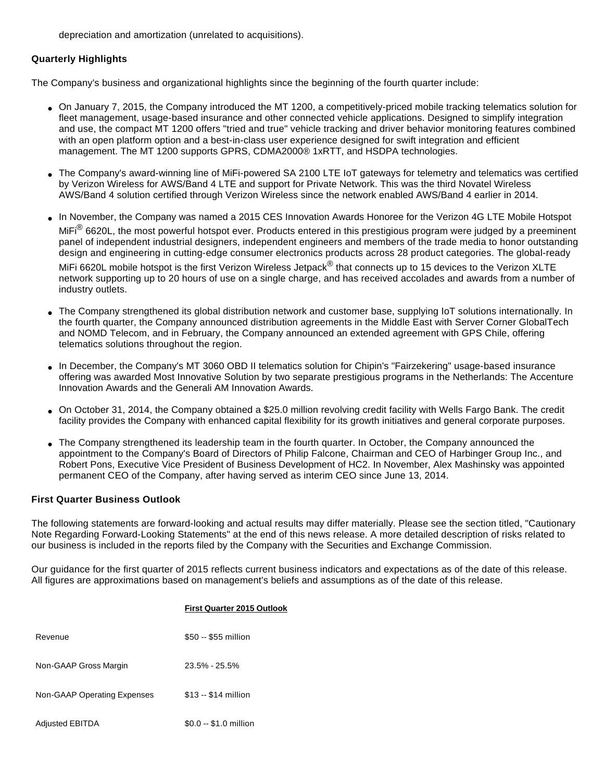depreciation and amortization (unrelated to acquisitions).

## **Quarterly Highlights**

The Company's business and organizational highlights since the beginning of the fourth quarter include:

- On January 7, 2015, the Company introduced the MT 1200, a competitively-priced mobile tracking telematics solution for fleet management, usage-based insurance and other connected vehicle applications. Designed to simplify integration and use, the compact MT 1200 offers "tried and true" vehicle tracking and driver behavior monitoring features combined with an open platform option and a best-in-class user experience designed for swift integration and efficient management. The MT 1200 supports GPRS, CDMA2000® 1xRTT, and HSDPA technologies.
- The Company's award-winning line of MiFi-powered SA 2100 LTE IoT gateways for telemetry and telematics was certified by Verizon Wireless for AWS/Band 4 LTE and support for Private Network. This was the third Novatel Wireless AWS/Band 4 solution certified through Verizon Wireless since the network enabled AWS/Band 4 earlier in 2014.
- In November, the Company was named a 2015 CES Innovation Awards Honoree for the Verizon 4G LTE Mobile Hotspot MiFi<sup>®</sup> 6620L, the most powerful hotspot ever. Products entered in this prestigious program were judged by a preeminent panel of independent industrial designers, independent engineers and members of the trade media to honor outstanding design and engineering in cutting-edge consumer electronics products across 28 product categories. The global-ready

MiFi 6620L mobile hotspot is the first Verizon Wireless Jetpack® that connects up to 15 devices to the Verizon XLTE network supporting up to 20 hours of use on a single charge, and has received accolades and awards from a number of industry outlets.

- The Company strengthened its global distribution network and customer base, supplying IoT solutions internationally. In the fourth quarter, the Company announced distribution agreements in the Middle East with Server Corner GlobalTech and NOMD Telecom, and in February, the Company announced an extended agreement with GPS Chile, offering telematics solutions throughout the region.
- In December, the Company's MT 3060 OBD II telematics solution for Chipin's "Fairzekering" usage-based insurance offering was awarded Most Innovative Solution by two separate prestigious programs in the Netherlands: The Accenture Innovation Awards and the Generali AM Innovation Awards.
- On October 31, 2014, the Company obtained a \$25.0 million revolving credit facility with Wells Fargo Bank. The credit facility provides the Company with enhanced capital flexibility for its growth initiatives and general corporate purposes.
- The Company strengthened its leadership team in the fourth quarter. In October, the Company announced the appointment to the Company's Board of Directors of Philip Falcone, Chairman and CEO of Harbinger Group Inc., and Robert Pons, Executive Vice President of Business Development of HC2. In November, Alex Mashinsky was appointed permanent CEO of the Company, after having served as interim CEO since June 13, 2014.

## **First Quarter Business Outlook**

The following statements are forward-looking and actual results may differ materially. Please see the section titled, "Cautionary Note Regarding Forward-Looking Statements" at the end of this news release. A more detailed description of risks related to our business is included in the reports filed by the Company with the Securities and Exchange Commission.

Our guidance for the first quarter of 2015 reflects current business indicators and expectations as of the date of this release. All figures are approximations based on management's beliefs and assumptions as of the date of this release.

|                             | <b>First Quarter 2015 Outlook</b> |
|-----------------------------|-----------------------------------|
| Revenue                     | \$50 -- \$55 million              |
| Non-GAAP Gross Margin       | $23.5\% - 25.5\%$                 |
| Non-GAAP Operating Expenses | \$13 -- \$14 million              |
| <b>Adjusted EBITDA</b>      | $$0.0 - $1.0$ million             |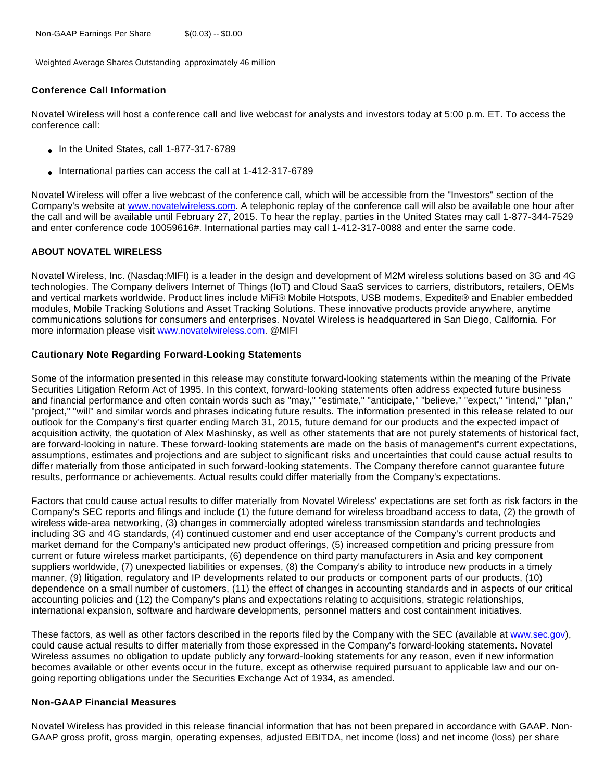Weighted Average Shares Outstanding approximately 46 million

## **Conference Call Information**

Novatel Wireless will host a conference call and live webcast for analysts and investors today at 5:00 p.m. ET. To access the conference call:

- In the United States, call 1-877-317-6789
- International parties can access the call at 1-412-317-6789

Novatel Wireless will offer a live webcast of the conference call, which will be accessible from the "Investors" section of the Company's website at [www.novatelwireless.com.](http://www.globenewswire.com/newsroom/ctr?d=10121074&l=14&a=www.novatelwireless.com&u=http%3A%2F%2Fwww.novatelwireless.com%2F) A telephonic replay of the conference call will also be available one hour after the call and will be available until February 27, 2015. To hear the replay, parties in the United States may call 1-877-344-7529 and enter conference code 10059616#. International parties may call 1-412-317-0088 and enter the same code.

#### **ABOUT NOVATEL WIRELESS**

Novatel Wireless, Inc. (Nasdaq:MIFI) is a leader in the design and development of M2M wireless solutions based on 3G and 4G technologies. The Company delivers Internet of Things (IoT) and Cloud SaaS services to carriers, distributors, retailers, OEMs and vertical markets worldwide. Product lines include MiFi® Mobile Hotspots, USB modems, Expedite® and Enabler embedded modules, Mobile Tracking Solutions and Asset Tracking Solutions. These innovative products provide anywhere, anytime communications solutions for consumers and enterprises. Novatel Wireless is headquartered in San Diego, California. For more information please visit [www.novatelwireless.com.](http://www.globenewswire.com/newsroom/ctr?d=10121074&l=16&a=www.novatelwireless.com&u=http%3A%2F%2Fwww.novatelwireless.com%2F) @MIFI

#### **Cautionary Note Regarding Forward-Looking Statements**

Some of the information presented in this release may constitute forward-looking statements within the meaning of the Private Securities Litigation Reform Act of 1995. In this context, forward-looking statements often address expected future business and financial performance and often contain words such as "may," "estimate," "anticipate," "believe," "expect," "intend," "plan," "project," "will" and similar words and phrases indicating future results. The information presented in this release related to our outlook for the Company's first quarter ending March 31, 2015, future demand for our products and the expected impact of acquisition activity, the quotation of Alex Mashinsky, as well as other statements that are not purely statements of historical fact, are forward-looking in nature. These forward-looking statements are made on the basis of management's current expectations, assumptions, estimates and projections and are subject to significant risks and uncertainties that could cause actual results to differ materially from those anticipated in such forward-looking statements. The Company therefore cannot guarantee future results, performance or achievements. Actual results could differ materially from the Company's expectations.

Factors that could cause actual results to differ materially from Novatel Wireless' expectations are set forth as risk factors in the Company's SEC reports and filings and include (1) the future demand for wireless broadband access to data, (2) the growth of wireless wide-area networking, (3) changes in commercially adopted wireless transmission standards and technologies including 3G and 4G standards, (4) continued customer and end user acceptance of the Company's current products and market demand for the Company's anticipated new product offerings, (5) increased competition and pricing pressure from current or future wireless market participants, (6) dependence on third party manufacturers in Asia and key component suppliers worldwide, (7) unexpected liabilities or expenses, (8) the Company's ability to introduce new products in a timely manner, (9) litigation, regulatory and IP developments related to our products or component parts of our products, (10) dependence on a small number of customers, (11) the effect of changes in accounting standards and in aspects of our critical accounting policies and (12) the Company's plans and expectations relating to acquisitions, strategic relationships, international expansion, software and hardware developments, personnel matters and cost containment initiatives.

These factors, as well as other factors described in the reports filed by the Company with the SEC (available at [www.sec.gov](http://www.globenewswire.com/newsroom/ctr?d=10121074&l=20&a=www.sec.gov&u=http%3A%2F%2Fwww.sec.gov)), could cause actual results to differ materially from those expressed in the Company's forward-looking statements. Novatel Wireless assumes no obligation to update publicly any forward-looking statements for any reason, even if new information becomes available or other events occur in the future, except as otherwise required pursuant to applicable law and our ongoing reporting obligations under the Securities Exchange Act of 1934, as amended.

#### **Non-GAAP Financial Measures**

Novatel Wireless has provided in this release financial information that has not been prepared in accordance with GAAP. Non-GAAP gross profit, gross margin, operating expenses, adjusted EBITDA, net income (loss) and net income (loss) per share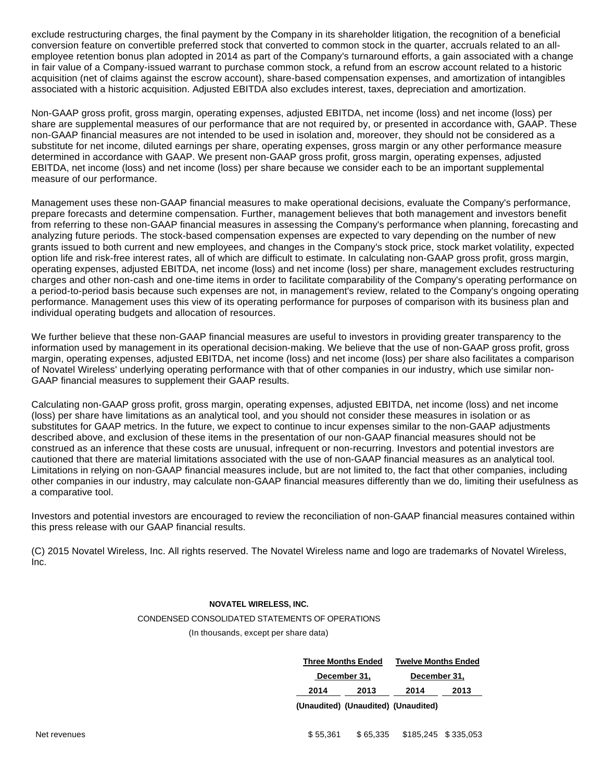exclude restructuring charges, the final payment by the Company in its shareholder litigation, the recognition of a beneficial conversion feature on convertible preferred stock that converted to common stock in the quarter, accruals related to an allemployee retention bonus plan adopted in 2014 as part of the Company's turnaround efforts, a gain associated with a change in fair value of a Company-issued warrant to purchase common stock, a refund from an escrow account related to a historic acquisition (net of claims against the escrow account), share-based compensation expenses, and amortization of intangibles associated with a historic acquisition. Adjusted EBITDA also excludes interest, taxes, depreciation and amortization.

Non-GAAP gross profit, gross margin, operating expenses, adjusted EBITDA, net income (loss) and net income (loss) per share are supplemental measures of our performance that are not required by, or presented in accordance with, GAAP. These non-GAAP financial measures are not intended to be used in isolation and, moreover, they should not be considered as a substitute for net income, diluted earnings per share, operating expenses, gross margin or any other performance measure determined in accordance with GAAP. We present non-GAAP gross profit, gross margin, operating expenses, adjusted EBITDA, net income (loss) and net income (loss) per share because we consider each to be an important supplemental measure of our performance.

Management uses these non-GAAP financial measures to make operational decisions, evaluate the Company's performance, prepare forecasts and determine compensation. Further, management believes that both management and investors benefit from referring to these non-GAAP financial measures in assessing the Company's performance when planning, forecasting and analyzing future periods. The stock-based compensation expenses are expected to vary depending on the number of new grants issued to both current and new employees, and changes in the Company's stock price, stock market volatility, expected option life and risk-free interest rates, all of which are difficult to estimate. In calculating non-GAAP gross profit, gross margin, operating expenses, adjusted EBITDA, net income (loss) and net income (loss) per share, management excludes restructuring charges and other non-cash and one-time items in order to facilitate comparability of the Company's operating performance on a period-to-period basis because such expenses are not, in management's review, related to the Company's ongoing operating performance. Management uses this view of its operating performance for purposes of comparison with its business plan and individual operating budgets and allocation of resources.

We further believe that these non-GAAP financial measures are useful to investors in providing greater transparency to the information used by management in its operational decision-making. We believe that the use of non-GAAP gross profit, gross margin, operating expenses, adjusted EBITDA, net income (loss) and net income (loss) per share also facilitates a comparison of Novatel Wireless' underlying operating performance with that of other companies in our industry, which use similar non-GAAP financial measures to supplement their GAAP results.

Calculating non-GAAP gross profit, gross margin, operating expenses, adjusted EBITDA, net income (loss) and net income (loss) per share have limitations as an analytical tool, and you should not consider these measures in isolation or as substitutes for GAAP metrics. In the future, we expect to continue to incur expenses similar to the non-GAAP adjustments described above, and exclusion of these items in the presentation of our non-GAAP financial measures should not be construed as an inference that these costs are unusual, infrequent or non-recurring. Investors and potential investors are cautioned that there are material limitations associated with the use of non-GAAP financial measures as an analytical tool. Limitations in relying on non-GAAP financial measures include, but are not limited to, the fact that other companies, including other companies in our industry, may calculate non-GAAP financial measures differently than we do, limiting their usefulness as a comparative tool.

Investors and potential investors are encouraged to review the reconciliation of non-GAAP financial measures contained within this press release with our GAAP financial results.

(C) 2015 Novatel Wireless, Inc. All rights reserved. The Novatel Wireless name and logo are trademarks of Novatel Wireless, Inc.

#### **NOVATEL WIRELESS, INC.**

#### CONDENSED CONSOLIDATED STATEMENTS OF OPERATIONS

(In thousands, except per share data)

| <b>Three Months Ended</b> | <b>Twelve Months Ended</b>                            |              |      |  |
|---------------------------|-------------------------------------------------------|--------------|------|--|
| December 31,              |                                                       | December 31, |      |  |
| 2014                      | 2013                                                  | 2014         | 2013 |  |
|                           | المماثلون ومرارات المماثلون ومرارات المماثلون ومرارات |              |      |  |

**(Unaudited) (Unaudited) (Unaudited)**

Net revenues **65,335** \$185,245 \$335,053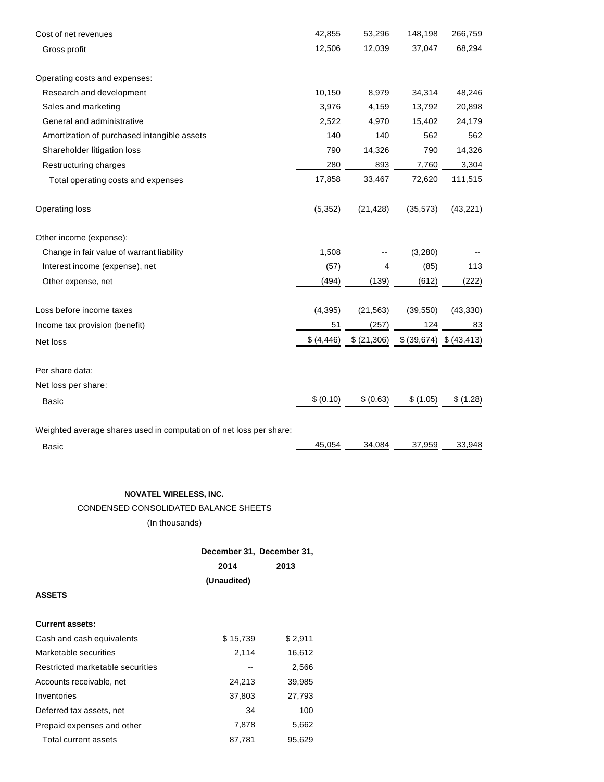| Cost of net revenues                                               | 42,855      | 53,296      | 148,198   | 266,759                 |
|--------------------------------------------------------------------|-------------|-------------|-----------|-------------------------|
| Gross profit                                                       | 12,506      | 12,039      | 37,047    | 68,294                  |
| Operating costs and expenses:                                      |             |             |           |                         |
| Research and development                                           | 10,150      | 8,979       | 34,314    | 48,246                  |
| Sales and marketing                                                | 3,976       | 4,159       | 13,792    | 20,898                  |
| General and administrative                                         | 2,522       | 4,970       | 15,402    | 24,179                  |
| Amortization of purchased intangible assets                        | 140         | 140         | 562       | 562                     |
| Shareholder litigation loss                                        | 790         | 14,326      | 790       | 14,326                  |
| Restructuring charges                                              | 280         | 893         | 7,760     | 3,304                   |
| Total operating costs and expenses                                 | 17,858      | 33,467      | 72,620    | 111,515                 |
| Operating loss                                                     | (5, 352)    | (21, 428)   | (35, 573) | (43, 221)               |
| Other income (expense):                                            |             |             |           |                         |
| Change in fair value of warrant liability                          | 1,508       |             | (3,280)   |                         |
| Interest income (expense), net                                     | (57)        | 4           | (85)      | 113                     |
| Other expense, net                                                 | (494)       | (139)       | (612)     | (222)                   |
| Loss before income taxes                                           | (4, 395)    | (21, 563)   | (39, 550) | (43, 330)               |
| Income tax provision (benefit)                                     | 51          | (257)       | 124       | 83                      |
| Net loss                                                           | \$ (4, 446) | \$ (21,306) |           | \$ (39,674) \$ (43,413) |
| Per share data:                                                    |             |             |           |                         |
| Net loss per share:                                                |             |             |           |                         |
| <b>Basic</b>                                                       | \$ (0.10)   | \$ (0.63)   | \$ (1.05) | \$ (1.28)               |
| Woighted average shares used in computation of not loss nor share: |             |             |           |                         |

Weighted average shares used in computation of net loss per share: Basic 45,054 34,084 37,959 33,948

## **NOVATEL WIRELESS, INC.**

CONDENSED CONSOLIDATED BALANCE SHEETS

(In thousands)

|                                  | December 31, December 31, |         |  |
|----------------------------------|---------------------------|---------|--|
|                                  | 2014                      | 2013    |  |
|                                  | (Unaudited)               |         |  |
| <b>ASSETS</b>                    |                           |         |  |
|                                  |                           |         |  |
| <b>Current assets:</b>           |                           |         |  |
| Cash and cash equivalents        | \$15,739                  | \$2,911 |  |
| Marketable securities            | 2,114                     | 16,612  |  |
| Restricted marketable securities |                           | 2,566   |  |
| Accounts receivable, net         | 24,213                    | 39,985  |  |
| Inventories                      | 37,803                    | 27,793  |  |
| Deferred tax assets, net         | 34                        | 100     |  |
| Prepaid expenses and other       | 7,878                     | 5,662   |  |
| Total current assets             | 87,781                    | 95,629  |  |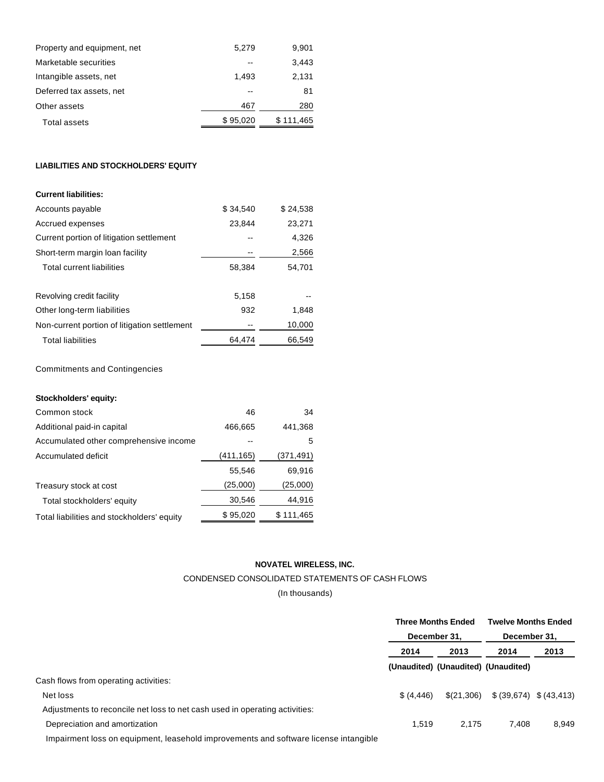| Property and equipment, net | 5.279    | 9,901     |
|-----------------------------|----------|-----------|
| Marketable securities       |          | 3.443     |
| Intangible assets, net      | 1.493    | 2,131     |
| Deferred tax assets, net    |          | 81        |
| Other assets                | 467      | 280       |
| <b>Total assets</b>         | \$95,020 | \$111,465 |

## **LIABILITIES AND STOCKHOLDERS' EQUITY**

| \$34.540 | \$24.538 |
|----------|----------|
| 23,844   | 23,271   |
|          | 4.326    |
|          | 2,566    |
| 58,384   | 54.701   |
|          |          |
| 5,158    |          |
| 932      | 1.848    |
|          | 10,000   |
| 64.474   | 66,549   |
|          |          |

Commitments and Contingencies

# **Stockholders' equity:**

| 46        | 34        |
|-----------|-----------|
| 466,665   | 441,368   |
|           | 5         |
| (411,165) | (371,491) |
| 55.546    | 69,916    |
| (25,000)  | (25,000)  |
| 30,546    | 44,916    |
| \$95,020  | \$111,465 |
|           |           |

#### **NOVATEL WIRELESS, INC.**

## CONDENSED CONSOLIDATED STATEMENTS OF CASH FLOWS

(In thousands)

|                                                                             |              | <b>Three Months Ended</b>           | <b>Twelve Months Ended</b> |       |
|-----------------------------------------------------------------------------|--------------|-------------------------------------|----------------------------|-------|
|                                                                             | December 31. |                                     | December 31,               |       |
|                                                                             | 2014         | 2013                                | 2014                       | 2013  |
|                                                                             |              | (Unaudited) (Unaudited) (Unaudited) |                            |       |
| Cash flows from operating activities:                                       |              |                                     |                            |       |
| Net loss                                                                    | \$ (4, 446)  | \$(21,306)                          | \$ (39,674) \$ (43,413)    |       |
| Adjustments to reconcile net loss to net cash used in operating activities: |              |                                     |                            |       |
| Depreciation and amortization                                               | 1.519        | 2.175                               | 7.408                      | 8,949 |
|                                                                             |              |                                     |                            |       |

Impairment loss on equipment, leasehold improvements and software license intangible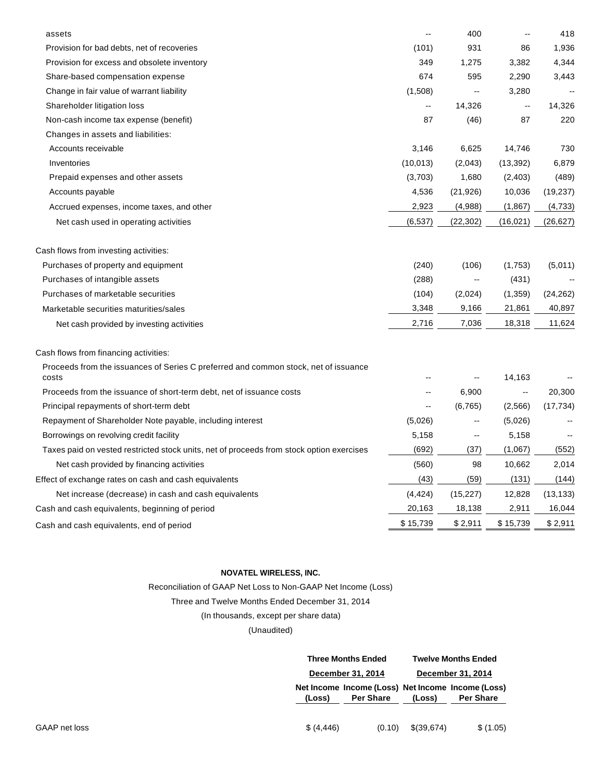| assets                                                                                   | $\overline{\phantom{a}}$ | 400                      | $-$                                           | 418       |
|------------------------------------------------------------------------------------------|--------------------------|--------------------------|-----------------------------------------------|-----------|
| Provision for bad debts, net of recoveries                                               | (101)                    | 931                      | 86                                            | 1,936     |
| Provision for excess and obsolete inventory                                              | 349                      | 1,275                    | 3,382                                         | 4,344     |
| Share-based compensation expense                                                         | 674                      | 595                      | 2,290                                         | 3,443     |
| Change in fair value of warrant liability                                                | (1,508)                  | --                       | 3,280                                         |           |
| Shareholder litigation loss                                                              | $\overline{\phantom{a}}$ | 14,326                   | $\mathord{\hspace{1pt}\text{--}\hspace{1pt}}$ | 14,326    |
| Non-cash income tax expense (benefit)                                                    | 87                       | (46)                     | 87                                            | 220       |
| Changes in assets and liabilities:                                                       |                          |                          |                                               |           |
| Accounts receivable                                                                      | 3,146                    | 6,625                    | 14,746                                        | 730       |
| Inventories                                                                              | (10, 013)                | (2,043)                  | (13, 392)                                     | 6,879     |
| Prepaid expenses and other assets                                                        | (3,703)                  | 1,680                    | (2, 403)                                      | (489)     |
| Accounts payable                                                                         | 4,536                    | (21, 926)                | 10,036                                        | (19, 237) |
| Accrued expenses, income taxes, and other                                                | 2,923                    | (4,988)                  | (1,867)                                       | (4,733)   |
| Net cash used in operating activities                                                    | (6, 537)                 | (22, 302)                | (16, 021)                                     | (26,627)  |
| Cash flows from investing activities:                                                    |                          |                          |                                               |           |
| Purchases of property and equipment                                                      | (240)                    | (106)                    | (1,753)                                       | (5,011)   |
| Purchases of intangible assets                                                           | (288)                    | --                       | (431)                                         |           |
| Purchases of marketable securities                                                       | (104)                    | (2,024)                  | (1,359)                                       | (24, 262) |
| Marketable securities maturities/sales                                                   | 3,348                    | 9,166                    | 21,861                                        | 40,897    |
| Net cash provided by investing activities                                                | 2,716                    | 7,036                    | 18,318                                        | 11,624    |
| Cash flows from financing activities:                                                    |                          |                          |                                               |           |
| Proceeds from the issuances of Series C preferred and common stock, net of issuance      |                          |                          |                                               |           |
| costs                                                                                    |                          |                          | 14,163                                        |           |
| Proceeds from the issuance of short-term debt, net of issuance costs                     |                          | 6,900                    | --                                            | 20,300    |
| Principal repayments of short-term debt                                                  | $\overline{\phantom{a}}$ | (6, 765)                 | (2,566)                                       | (17, 734) |
| Repayment of Shareholder Note payable, including interest                                | (5,026)                  |                          | (5,026)                                       |           |
| Borrowings on revolving credit facility                                                  | 5,158                    | $\overline{\phantom{a}}$ | 5,158                                         |           |
| Taxes paid on vested restricted stock units, net of proceeds from stock option exercises | (692)                    | (37)                     | (1,067)                                       | (552)     |
| Net cash provided by financing activities                                                | (560)                    | 98                       | 10,662                                        | 2,014     |
| Effect of exchange rates on cash and cash equivalents                                    | (43)                     | (59)                     | (131)                                         | (144)     |
| Net increase (decrease) in cash and cash equivalents                                     | (4, 424)                 | (15, 227)                | 12,828                                        | (13, 133) |
| Cash and cash equivalents, beginning of period                                           | 20,163                   | 18,138                   | 2,911                                         | 16,044    |
| Cash and cash equivalents, end of period                                                 | \$15,739                 | \$2,911                  | \$15,739                                      | \$2,911   |
|                                                                                          |                          |                          |                                               |           |

# **NOVATEL WIRELESS, INC.**

# Reconciliation of GAAP Net Loss to Non-GAAP Net Income (Loss)

# Three and Twelve Months Ended December 31, 2014

## (In thousands, except per share data)

# (Unaudited)

|             | <b>Three Months Ended</b><br>December 31, 2014 |            | <b>Twelve Months Ended</b>                                            |  |  |
|-------------|------------------------------------------------|------------|-----------------------------------------------------------------------|--|--|
|             |                                                |            | December 31, 2014                                                     |  |  |
| (Loss)      | <b>Per Share</b>                               | (Loss)     | Net Income Income (Loss) Net Income Income (Loss)<br><b>Per Share</b> |  |  |
| \$ (4, 446) | (0.10)                                         | \$(39,674) | \$(1.05)                                                              |  |  |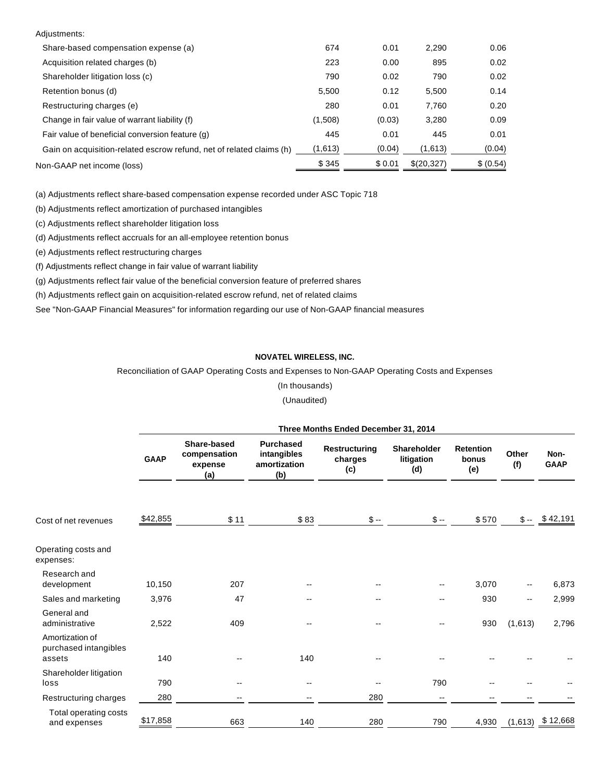| Adjustments:                                                         |         |         |            |           |
|----------------------------------------------------------------------|---------|---------|------------|-----------|
| Share-based compensation expense (a)                                 | 674     | 0.01    | 2,290      | 0.06      |
| Acquisition related charges (b)                                      | 223     | 0.00    | 895        | 0.02      |
| Shareholder litigation loss (c)                                      | 790     | 0.02    | 790        | 0.02      |
| Retention bonus (d)                                                  | 5,500   | 0.12    | 5,500      | 0.14      |
| Restructuring charges (e)                                            | 280     | 0.01    | 7.760      | 0.20      |
| Change in fair value of warrant liability (f)                        | (1,508) | (0.03)  | 3,280      | 0.09      |
| Fair value of beneficial conversion feature (q)                      | 445     | 0.01    | 445        | 0.01      |
| Gain on acquisition-related escrow refund, net of related claims (h) | (1,613) | (0.04)  | (1,613)    | (0.04)    |
| Non-GAAP net income (loss)                                           | \$345   | \$ 0.01 | \$(20,327) | \$ (0.54) |

(a) Adjustments reflect share-based compensation expense recorded under ASC Topic 718

(b) Adjustments reflect amortization of purchased intangibles

(c) Adjustments reflect shareholder litigation loss

(d) Adjustments reflect accruals for an all-employee retention bonus

(e) Adjustments reflect restructuring charges

(f) Adjustments reflect change in fair value of warrant liability

(g) Adjustments reflect fair value of the beneficial conversion feature of preferred shares

(h) Adjustments reflect gain on acquisition-related escrow refund, net of related claims

See "Non-GAAP Financial Measures" for information regarding our use of Non-GAAP financial measures

#### **NOVATEL WIRELESS, INC.**

Reconciliation of GAAP Operating Costs and Expenses to Non-GAAP Operating Costs and Expenses

(In thousands) (Unaudited)

|                                                    | Three Months Ended December 31, 2014 |                                               |                                                        |                                 |                                         |                                  |                          |                     |  |
|----------------------------------------------------|--------------------------------------|-----------------------------------------------|--------------------------------------------------------|---------------------------------|-----------------------------------------|----------------------------------|--------------------------|---------------------|--|
|                                                    | <b>GAAP</b>                          | Share-based<br>compensation<br>expense<br>(a) | <b>Purchased</b><br>intangibles<br>amortization<br>(b) | Restructuring<br>charges<br>(c) | <b>Shareholder</b><br>litigation<br>(d) | <b>Retention</b><br>bonus<br>(e) | Other<br>(f)             | Non-<br><b>GAAP</b> |  |
| Cost of net revenues                               | \$42,855                             | \$11                                          | \$83                                                   | $$ -$                           | $$ -$                                   | \$570                            |                          | $$-.$ \$42,191      |  |
| Operating costs and<br>expenses:                   |                                      |                                               |                                                        |                                 |                                         |                                  |                          |                     |  |
| Research and<br>development                        | 10,150                               | 207                                           |                                                        | --                              | --                                      | 3,070                            | $\overline{\phantom{a}}$ | 6,873               |  |
| Sales and marketing                                | 3,976                                | 47                                            |                                                        |                                 | --                                      | 930                              | $\overline{\phantom{a}}$ | 2,999               |  |
| General and<br>administrative                      | 2,522                                | 409                                           |                                                        |                                 |                                         | 930                              | (1,613)                  | 2,796               |  |
| Amortization of<br>purchased intangibles<br>assets | 140                                  |                                               | 140                                                    | --                              |                                         |                                  |                          |                     |  |
| Shareholder litigation<br>loss                     | 790                                  | --                                            | $\overline{\phantom{m}}$                               |                                 | 790                                     |                                  |                          |                     |  |
| Restructuring charges                              | 280                                  | -−                                            | $-$                                                    | 280                             | --                                      |                                  |                          |                     |  |
| Total operating costs<br>and expenses              | \$17,858                             | 663                                           | 140                                                    | 280                             | 790                                     | 4,930                            | (1,613)                  | \$12,668            |  |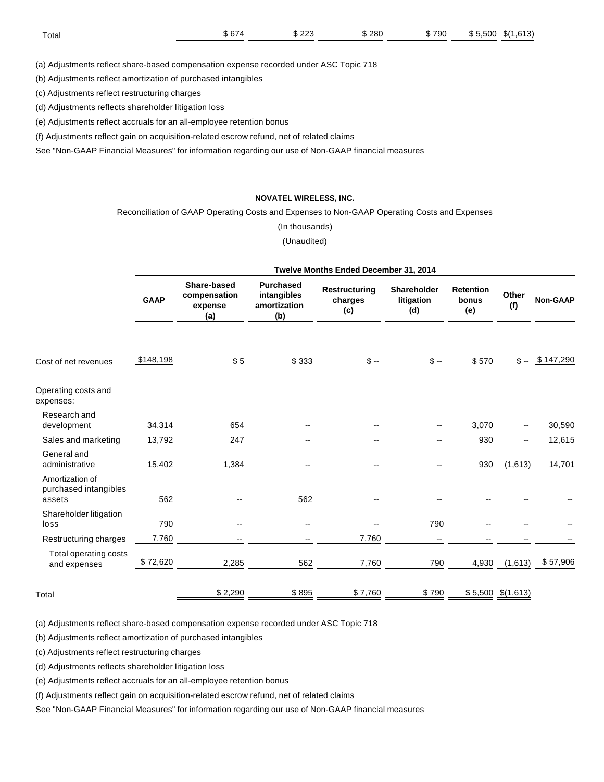| Totar | $\sim$ $\sim$<br>JD.<br>$\cdot$ | $\sim$<br>w<br>. | 280<br>___ | 790<br>۰۱. | .500<br>œ<br>: ת. | 0.40<br>$\mathbf{r}$<br>æк<br>ו טויט. |
|-------|---------------------------------|------------------|------------|------------|-------------------|---------------------------------------|
|       |                                 |                  |            |            |                   |                                       |

(a) Adjustments reflect share-based compensation expense recorded under ASC Topic 718

(b) Adjustments reflect amortization of purchased intangibles

(c) Adjustments reflect restructuring charges

(d) Adjustments reflects shareholder litigation loss

(e) Adjustments reflect accruals for an all-employee retention bonus

(f) Adjustments reflect gain on acquisition-related escrow refund, net of related claims

See "Non-GAAP Financial Measures" for information regarding our use of Non-GAAP financial measures

#### **NOVATEL WIRELESS, INC.**

Reconciliation of GAAP Operating Costs and Expenses to Non-GAAP Operating Costs and Expenses

(In thousands)

(Unaudited)

|                                                    | Twelve Months Ended December 31, 2014 |                                               |                                                        |                                        |                                  |                                  |                     |                 |
|----------------------------------------------------|---------------------------------------|-----------------------------------------------|--------------------------------------------------------|----------------------------------------|----------------------------------|----------------------------------|---------------------|-----------------|
|                                                    | <b>GAAP</b>                           | Share-based<br>compensation<br>expense<br>(a) | <b>Purchased</b><br>intangibles<br>amortization<br>(b) | <b>Restructuring</b><br>charges<br>(c) | Shareholder<br>litigation<br>(d) | <b>Retention</b><br>bonus<br>(e) | Other<br>(f)        | <b>Non-GAAP</b> |
| Cost of net revenues                               | \$148,198                             | \$5                                           | \$333                                                  | $\mathbb{S}$ --                        | $$ -$                            | \$570                            |                     | $$-.$ \$147,290 |
| Operating costs and<br>expenses:                   |                                       |                                               |                                                        |                                        |                                  |                                  |                     |                 |
| Research and<br>development                        | 34,314                                | 654                                           |                                                        |                                        |                                  | 3,070                            |                     | 30,590          |
| Sales and marketing                                | 13,792                                | 247                                           | --                                                     | --                                     |                                  | 930                              | --                  | 12,615          |
| General and<br>administrative                      | 15,402                                | 1,384                                         |                                                        |                                        |                                  | 930                              | (1,613)             | 14,701          |
| Amortization of<br>purchased intangibles<br>assets | 562                                   |                                               | 562                                                    |                                        |                                  |                                  |                     |                 |
| Shareholder litigation<br>loss                     | 790                                   |                                               | $\overline{\phantom{a}}$                               |                                        | 790                              |                                  |                     |                 |
| Restructuring charges                              | 7,760                                 | --                                            | $\overline{\phantom{a}}$                               | 7,760                                  | $\mathbf{u}$                     | $-$                              |                     |                 |
| Total operating costs<br>and expenses              | \$72,620                              | 2,285                                         | 562                                                    | 7,760                                  | 790                              | 4,930                            | (1,613)             | \$57,906        |
| Total                                              |                                       | \$2,290                                       | \$895                                                  | \$7,760                                | \$790                            |                                  | $$5,500$ $$(1,613)$ |                 |

(a) Adjustments reflect share-based compensation expense recorded under ASC Topic 718

(b) Adjustments reflect amortization of purchased intangibles

(c) Adjustments reflect restructuring charges

(d) Adjustments reflects shareholder litigation loss

(e) Adjustments reflect accruals for an all-employee retention bonus

(f) Adjustments reflect gain on acquisition-related escrow refund, net of related claims

See "Non-GAAP Financial Measures" for information regarding our use of Non-GAAP financial measures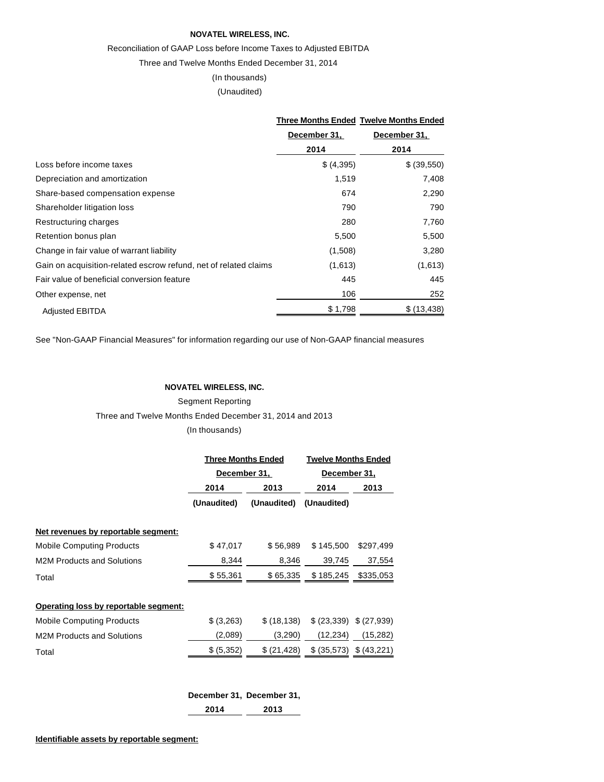#### **NOVATEL WIRELESS, INC.**

#### Reconciliation of GAAP Loss before Income Taxes to Adjusted EBITDA

Three and Twelve Months Ended December 31, 2014

# (In thousands)

(Unaudited)

|                                                                  |              | <b>Three Months Ended Twelve Months Ended</b><br>December 31, |  |
|------------------------------------------------------------------|--------------|---------------------------------------------------------------|--|
|                                                                  | December 31, |                                                               |  |
|                                                                  | 2014         | 2014                                                          |  |
| Loss before income taxes                                         | \$ (4,395)   | \$ (39,550)                                                   |  |
| Depreciation and amortization                                    | 1,519        | 7,408                                                         |  |
| Share-based compensation expense                                 | 674          | 2,290                                                         |  |
| Shareholder litigation loss                                      | 790          | 790                                                           |  |
| Restructuring charges                                            | 280          | 7,760                                                         |  |
| Retention bonus plan                                             | 5,500        | 5,500                                                         |  |
| Change in fair value of warrant liability                        | (1,508)      | 3,280                                                         |  |
| Gain on acquisition-related escrow refund, net of related claims | (1,613)      | (1,613)                                                       |  |
| Fair value of beneficial conversion feature                      | 445          | 445                                                           |  |
| Other expense, net                                               | 106          | 252                                                           |  |
| <b>Adjusted EBITDA</b>                                           | \$1,798      | \$ (13, 438)                                                  |  |

See "Non-GAAP Financial Measures" for information regarding our use of Non-GAAP financial measures

#### **NOVATEL WIRELESS, INC.**

Segment Reporting Three and Twelve Months Ended December 31, 2014 and 2013 (In thousands)

|                                       | <b>Three Months Ended</b> |              | <b>Twelve Months Ended</b> |                       |  |
|---------------------------------------|---------------------------|--------------|----------------------------|-----------------------|--|
|                                       | December 31,              |              | December 31,               |                       |  |
|                                       | 2014                      | 2013         | 2014                       | 2013                  |  |
|                                       | (Unaudited)               | (Unaudited)  | (Unaudited)                |                       |  |
| Net revenues by reportable segment:   |                           |              |                            |                       |  |
| <b>Mobile Computing Products</b>      | \$47,017                  | \$56.989     | \$145.500                  | \$297,499             |  |
| <b>M2M Products and Solutions</b>     | 8,344                     | 8,346        | 39,745                     | 37,554                |  |
| Total                                 | \$55,361                  | \$65,335     | \$185,245                  | \$335,053             |  |
| Operating loss by reportable segment: |                           |              |                            |                       |  |
| <b>Mobile Computing Products</b>      | \$ (3,263)                | \$ (18, 138) |                            | $(23,339)$ $(27,939)$ |  |
| <b>M2M Products and Solutions</b>     | (2,089)                   | (3,290)      | (12, 234)                  | (15, 282)             |  |
| Total                                 | \$ (5,352)                | \$ (21, 428) | \$ (35,573)                | \$ (43,221)           |  |
|                                       |                           |              |                            |                       |  |

|      | December 31, December 31, |
|------|---------------------------|
| 2014 | 2013                      |